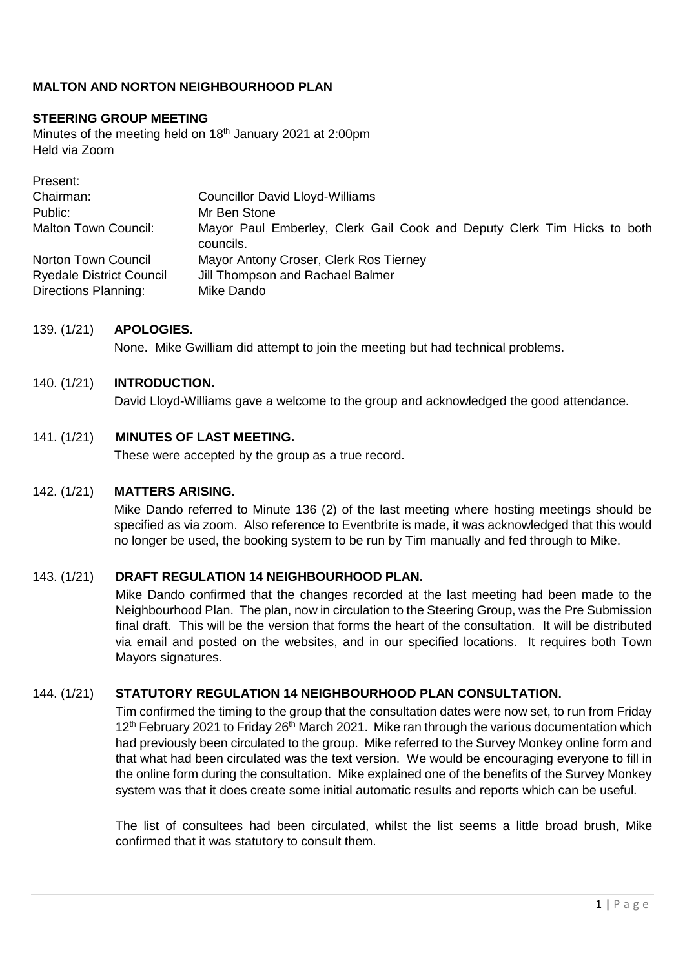# **MALTON AND NORTON NEIGHBOURHOOD PLAN**

## **STEERING GROUP MEETING**

Minutes of the meeting held on 18<sup>th</sup> January 2021 at 2:00pm Held via Zoom

| Present:                                                |                                                                                      |
|---------------------------------------------------------|--------------------------------------------------------------------------------------|
| Chairman:                                               | <b>Councillor David Lloyd-Williams</b>                                               |
| Public:                                                 | Mr Ben Stone                                                                         |
| <b>Malton Town Council:</b>                             | Mayor Paul Emberley, Clerk Gail Cook and Deputy Clerk Tim Hicks to both<br>councils. |
| Norton Town Council                                     | Mayor Antony Croser, Clerk Ros Tierney                                               |
| <b>Ryedale District Council</b><br>Directions Planning: | Jill Thompson and Rachael Balmer<br>Mike Dando                                       |

### 139. (1/21) **APOLOGIES.**

None. Mike Gwilliam did attempt to join the meeting but had technical problems.

#### 140. (1/21) **INTRODUCTION.**

David Lloyd-Williams gave a welcome to the group and acknowledged the good attendance.

### 141. (1/21) **MINUTES OF LAST MEETING.**

These were accepted by the group as a true record.

#### 142. (1/21) **MATTERS ARISING.**

Mike Dando referred to Minute 136 (2) of the last meeting where hosting meetings should be specified as via zoom. Also reference to Eventbrite is made, it was acknowledged that this would no longer be used, the booking system to be run by Tim manually and fed through to Mike.

### 143. (1/21) **DRAFT REGULATION 14 NEIGHBOURHOOD PLAN.**

Mike Dando confirmed that the changes recorded at the last meeting had been made to the Neighbourhood Plan. The plan, now in circulation to the Steering Group, was the Pre Submission final draft. This will be the version that forms the heart of the consultation. It will be distributed via email and posted on the websites, and in our specified locations. It requires both Town Mayors signatures.

### 144. (1/21) **STATUTORY REGULATION 14 NEIGHBOURHOOD PLAN CONSULTATION.**

Tim confirmed the timing to the group that the consultation dates were now set, to run from Friday 12<sup>th</sup> February 2021 to Friday 26<sup>th</sup> March 2021. Mike ran through the various documentation which had previously been circulated to the group. Mike referred to the Survey Monkey online form and that what had been circulated was the text version. We would be encouraging everyone to fill in the online form during the consultation. Mike explained one of the benefits of the Survey Monkey system was that it does create some initial automatic results and reports which can be useful.

The list of consultees had been circulated, whilst the list seems a little broad brush, Mike confirmed that it was statutory to consult them.